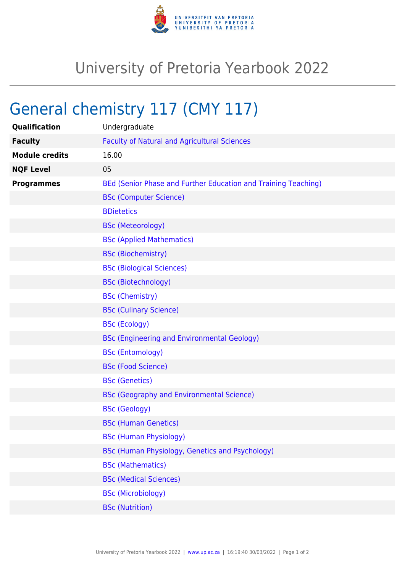

## University of Pretoria Yearbook 2022

## General chemistry 117 (CMY 117)

| Qualification         | Undergraduate                                                  |
|-----------------------|----------------------------------------------------------------|
| <b>Faculty</b>        | <b>Faculty of Natural and Agricultural Sciences</b>            |
| <b>Module credits</b> | 16.00                                                          |
| <b>NQF Level</b>      | 05                                                             |
| <b>Programmes</b>     | BEd (Senior Phase and Further Education and Training Teaching) |
|                       | <b>BSc (Computer Science)</b>                                  |
|                       | <b>BDietetics</b>                                              |
|                       | <b>BSc (Meteorology)</b>                                       |
|                       | <b>BSc (Applied Mathematics)</b>                               |
|                       | <b>BSc (Biochemistry)</b>                                      |
|                       | <b>BSc (Biological Sciences)</b>                               |
|                       | <b>BSc (Biotechnology)</b>                                     |
|                       | <b>BSc (Chemistry)</b>                                         |
|                       | <b>BSc (Culinary Science)</b>                                  |
|                       | <b>BSc (Ecology)</b>                                           |
|                       | <b>BSc (Engineering and Environmental Geology)</b>             |
|                       | <b>BSc (Entomology)</b>                                        |
|                       | <b>BSc (Food Science)</b>                                      |
|                       | <b>BSc (Genetics)</b>                                          |
|                       | <b>BSc (Geography and Environmental Science)</b>               |
|                       | <b>BSc (Geology)</b>                                           |
|                       | <b>BSc (Human Genetics)</b>                                    |
|                       | <b>BSc (Human Physiology)</b>                                  |
|                       | BSc (Human Physiology, Genetics and Psychology)                |
|                       | <b>BSc (Mathematics)</b>                                       |
|                       | <b>BSc (Medical Sciences)</b>                                  |
|                       | <b>BSc (Microbiology)</b>                                      |
|                       | <b>BSc (Nutrition)</b>                                         |
|                       |                                                                |